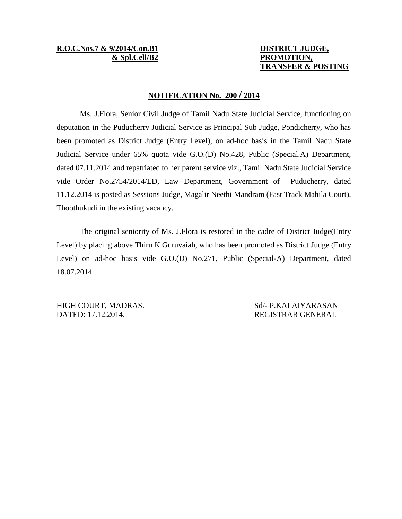# **R.O.C.Nos.7 & 9/2014/Con.B1 DISTRICT JUDGE,**

## **& Spl.Cell/B2 PROMOTION, TRANSFER & POSTING**

### **NOTIFICATION No. 200 / 2014**

Ms. J.Flora, Senior Civil Judge of Tamil Nadu State Judicial Service, functioning on deputation in the Puducherry Judicial Service as Principal Sub Judge, Pondicherry, who has been promoted as District Judge (Entry Level), on ad-hoc basis in the Tamil Nadu State Judicial Service under 65% quota vide G.O.(D) No.428, Public (Special.A) Department, dated 07.11.2014 and repatriated to her parent service viz., Tamil Nadu State Judicial Service vide Order No.2754/2014/LD, Law Department, Government of Puducherry, dated 11.12.2014 is posted as Sessions Judge, Magalir Neethi Mandram (Fast Track Mahila Court), Thoothukudi in the existing vacancy.

The original seniority of Ms. J.Flora is restored in the cadre of District Judge(Entry Level) by placing above Thiru K.Guruvaiah, who has been promoted as District Judge (Entry Level) on ad-hoc basis vide G.O.(D) No.271, Public (Special-A) Department, dated 18.07.2014.

HIGH COURT, MADRAS. Sd/- P.KALAIYARASAN DATED: 17.12.2014. REGISTRAR GENERAL